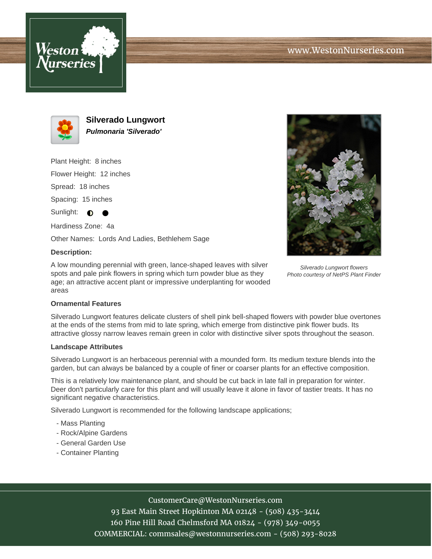



**Silverado Lungwort Pulmonaria 'Silverado'**

Plant Height: 8 inches

Flower Height: 12 inches

Spread: 18 inches

Spacing: 15 inches

Sunlight:  $\bigcirc$ 

Hardiness Zone: 4a

Other Names: Lords And Ladies, Bethlehem Sage

### **Description:**

A low mounding perennial with green, lance-shaped leaves with silver spots and pale pink flowers in spring which turn powder blue as they age; an attractive accent plant or impressive underplanting for wooded areas



Silverado Lungwort flowers Photo courtesy of NetPS Plant Finder

### **Ornamental Features**

Silverado Lungwort features delicate clusters of shell pink bell-shaped flowers with powder blue overtones at the ends of the stems from mid to late spring, which emerge from distinctive pink flower buds. Its attractive glossy narrow leaves remain green in color with distinctive silver spots throughout the season.

#### **Landscape Attributes**

Silverado Lungwort is an herbaceous perennial with a mounded form. Its medium texture blends into the garden, but can always be balanced by a couple of finer or coarser plants for an effective composition.

This is a relatively low maintenance plant, and should be cut back in late fall in preparation for winter. Deer don't particularly care for this plant and will usually leave it alone in favor of tastier treats. It has no significant negative characteristics.

Silverado Lungwort is recommended for the following landscape applications;

- Mass Planting
- Rock/Alpine Gardens
- General Garden Use
- Container Planting

# CustomerCare@WestonNurseries.com

93 East Main Street Hopkinton MA 02148 - (508) 435-3414 160 Pine Hill Road Chelmsford MA 01824 - (978) 349-0055 COMMERCIAL: commsales@westonnurseries.com - (508) 293-8028